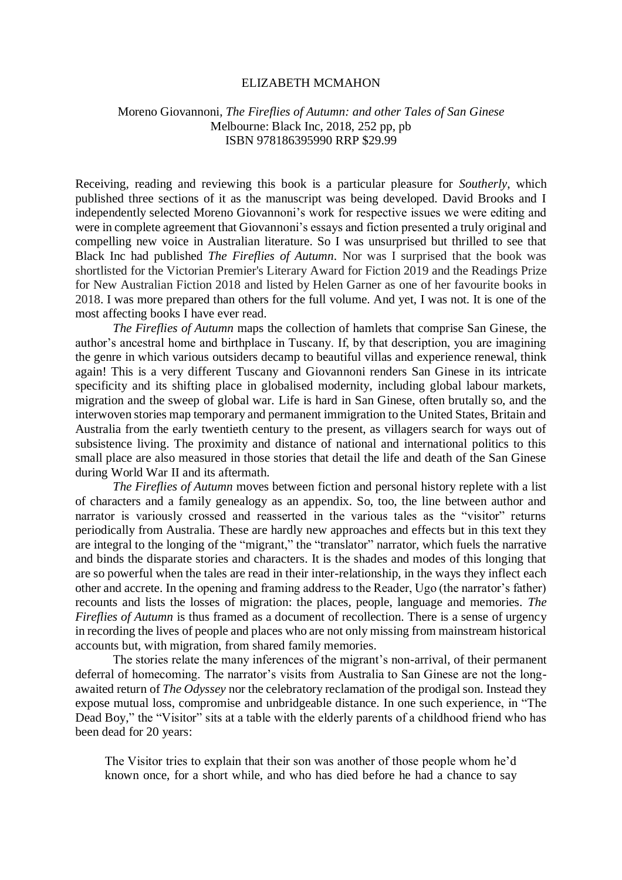## ELIZABETH MCMAHON

## Moreno Giovannoni, *The Fireflies of Autumn: and other Tales of San Ginese* Melbourne: Black Inc, 2018, 252 pp, pb ISBN 978186395990 RRP \$29.99

Receiving, reading and reviewing this book is a particular pleasure for *Southerly*, which published three sections of it as the manuscript was being developed. David Brooks and I independently selected Moreno Giovannoni's work for respective issues we were editing and were in complete agreement that Giovannoni's essays and fiction presented a truly original and compelling new voice in Australian literature. So I was unsurprised but thrilled to see that Black Inc had published *The Fireflies of Autumn*. Nor was I surprised that the book was shortlisted for the Victorian Premier's Literary Award for Fiction 2019 and the Readings Prize for New Australian Fiction 2018 and listed by Helen Garner as one of her favourite books in 2018. I was more prepared than others for the full volume. And yet, I was not. It is one of the most affecting books I have ever read.

*The Fireflies of Autumn* maps the collection of hamlets that comprise San Ginese, the author's ancestral home and birthplace in Tuscany. If, by that description, you are imagining the genre in which various outsiders decamp to beautiful villas and experience renewal, think again! This is a very different Tuscany and Giovannoni renders San Ginese in its intricate specificity and its shifting place in globalised modernity, including global labour markets, migration and the sweep of global war. Life is hard in San Ginese, often brutally so, and the interwoven stories map temporary and permanent immigration to the United States, Britain and Australia from the early twentieth century to the present, as villagers search for ways out of subsistence living. The proximity and distance of national and international politics to this small place are also measured in those stories that detail the life and death of the San Ginese during World War II and its aftermath.

*The Fireflies of Autumn* moves between fiction and personal history replete with a list of characters and a family genealogy as an appendix. So, too, the line between author and narrator is variously crossed and reasserted in the various tales as the "visitor" returns periodically from Australia. These are hardly new approaches and effects but in this text they are integral to the longing of the "migrant," the "translator" narrator, which fuels the narrative and binds the disparate stories and characters. It is the shades and modes of this longing that are so powerful when the tales are read in their inter-relationship, in the ways they inflect each other and accrete. In the opening and framing address to the Reader, Ugo (the narrator's father) recounts and lists the losses of migration: the places, people, language and memories. *The Fireflies of Autumn* is thus framed as a document of recollection. There is a sense of urgency in recording the lives of people and places who are not only missing from mainstream historical accounts but, with migration, from shared family memories.

The stories relate the many inferences of the migrant's non-arrival, of their permanent deferral of homecoming. The narrator's visits from Australia to San Ginese are not the longawaited return of *The Odyssey* nor the celebratory reclamation of the prodigal son. Instead they expose mutual loss, compromise and unbridgeable distance. In one such experience, in "The Dead Boy," the "Visitor" sits at a table with the elderly parents of a childhood friend who has been dead for 20 years:

The Visitor tries to explain that their son was another of those people whom he'd known once, for a short while, and who has died before he had a chance to say